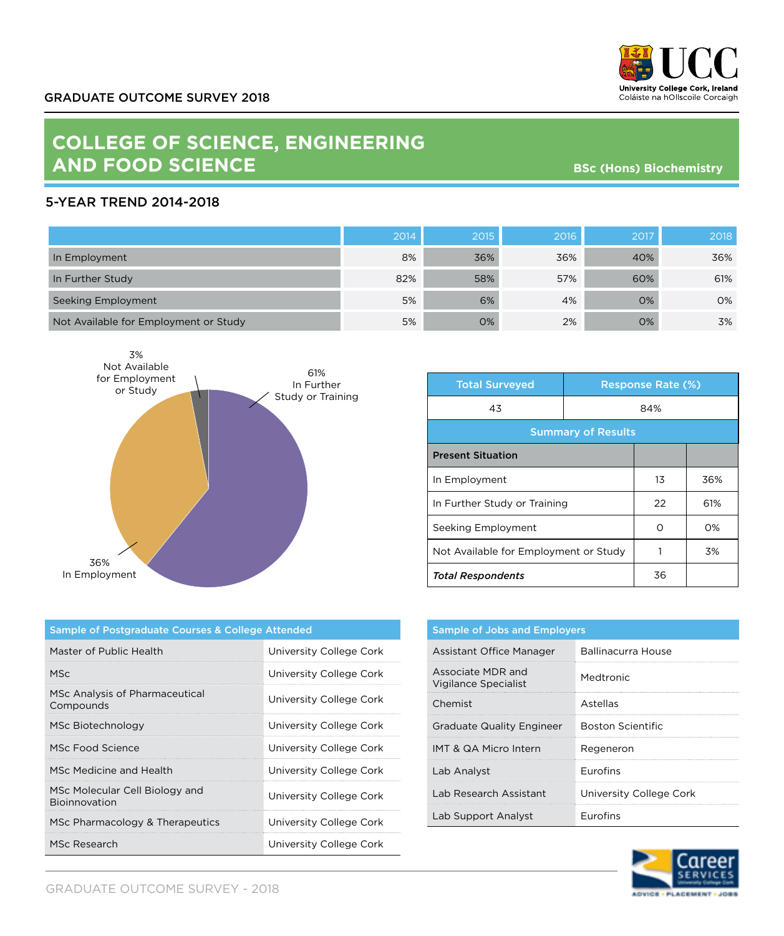

## **COLLEGE OF SCIENCE, ENGINEERING AND FOOD SCIENCE**

**BSc (Hons) Biochemistry**

## 5-YEAR TREND 2014-2018

|                                       | 2014 | 2015 | 2016 | 2017 | 2018 |
|---------------------------------------|------|------|------|------|------|
| In Employment                         | 8%   | 36%  | 36%  | 40%  | 36%  |
| In Further Study                      | 82%  | 58%  | 57%  | 60%  | 61%  |
| Seeking Employment                    | 5%   | 6%   | 4%   | 0%   | 0%   |
| Not Available for Employment or Study | 5%   | 0%   | 2%   | 0%   | 3%   |



| <b>Total Surveyed</b>                 |     | <b>Response Rate (%)</b> |     |  |
|---------------------------------------|-----|--------------------------|-----|--|
| 43                                    | 84% |                          |     |  |
| <b>Summary of Results</b>             |     |                          |     |  |
| <b>Present Situation</b>              |     |                          |     |  |
| In Employment                         |     | 13                       | 36% |  |
| In Further Study or Training          |     | 22                       | 61% |  |
| Seeking Employment                    |     | Ω                        | O%  |  |
| Not Available for Employment or Study |     |                          | 3%  |  |
| <b>Total Respondents</b>              |     | 36                       |     |  |

| Sample of Postgraduate Courses & College Attended |                         |  |  |
|---------------------------------------------------|-------------------------|--|--|
| Master of Public Health                           | University College Cork |  |  |
| MSc.                                              | University College Cork |  |  |
| MSc Analysis of Pharmaceutical<br>Compounds       | University College Cork |  |  |
| MSc Biotechnology                                 | University College Cork |  |  |
| MSc Food Science                                  | University College Cork |  |  |
| MSc Medicine and Health                           | University College Cork |  |  |
| MSc Molecular Cell Biology and<br>Bioinnovation   | University College Cork |  |  |
| MSc Pharmacology & Therapeutics                   | University College Cork |  |  |
| MSc Research                                      | University College Cork |  |  |

| <b>Sample of Jobs and Employers</b>              |                         |  |
|--------------------------------------------------|-------------------------|--|
| Assistant Office Manager                         | Ballinacurra House      |  |
| Associate MDR and<br><b>Vigilance Specialist</b> | Medtronic               |  |
| Chemist                                          | Astellas                |  |
| <b>Graduate Quality Engineer</b>                 | Boston Scientific       |  |
| IMT & QA Micro Intern                            | Regeneron               |  |
| Lab Analyst                                      | <b>Furofins</b>         |  |
| Lab Research Assistant                           | University College Cork |  |
| Lab Support Analyst                              | <b>Furofins</b>         |  |